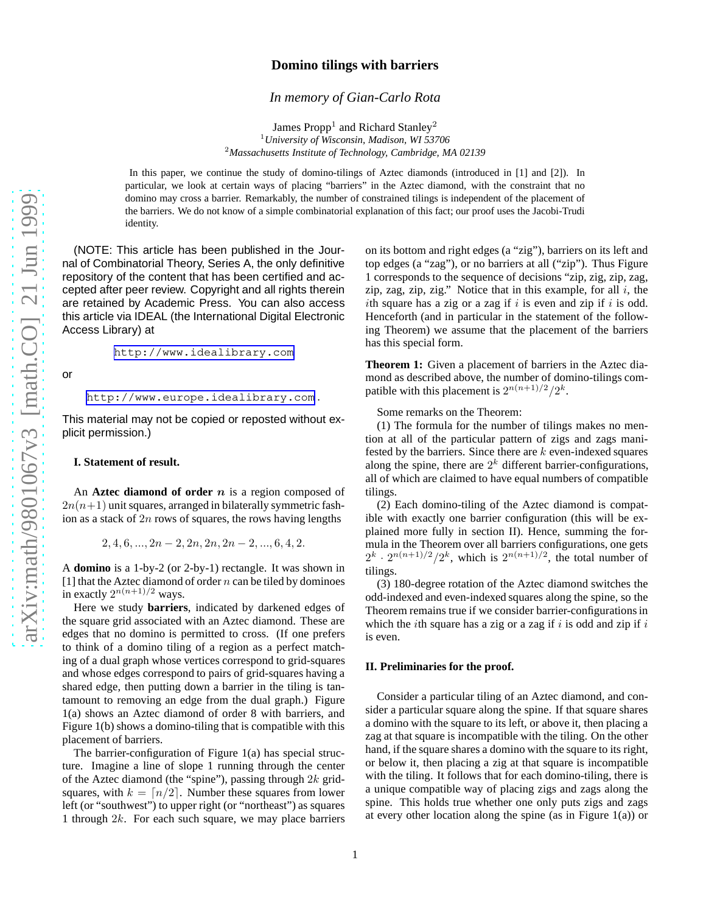# **Domino tilings with barriers**

*In memory of Gian-Carlo Rota*

James  $\text{Prop}^1$  and Richard Stanley<sup>2</sup> <sup>1</sup>*University of Wisconsin, Madison, WI 53706* <sup>2</sup>*Massachusetts Institute of Technology, Cambridge, MA 02139*

In this paper, we continue the study of domino-tilings of Aztec diamonds (introduced in [1] and [2]). In particular, we look at certain ways of placing "barriers" in the Aztec diamond, with the constraint that no domino may cross a barrier. Remarkably, the number of constrained tilings is independent of the placement of the barriers. We do not know of a simple combinatorial explanation of this fact; our proof uses the Jacobi-Trudi identity.

(NOTE: This article has been published in the Journal of Combinatorial Theory, Series A, the only definitive repository of the content that has been certified and accepted after peer review. Copyright and all rights therein are retained by Academic Press. You can also access this article via IDEAL (the International Digital Electronic Access Library) at

<http://www.idealibrary.com>

or

<http://www.europe.idealibrary.com> .

This material may not be copied or reposted without explicit permission.)

### **I. Statement of result.**

An **Aztec diamond of order** *n* is a region composed of  $2n(n+1)$  unit squares, arranged in bilaterally symmetric fashion as a stack of  $2n$  rows of squares, the rows having lengths

 $2, 4, 6, \ldots, 2n-2, 2n, 2n, 2n-2, \ldots, 6, 4, 2.$ 

A **domino** is a 1-by-2 (or 2-by-1) rectangle. It was shown in [1] that the Aztec diamond of order  $n$  can be tiled by dominoes in exactly  $2^{n(n+1)/2}$  ways.

Here we study **barriers**, indicated by darkened edges of the square grid associated with an Aztec diamond. These are edges that no domino is permitted to cross. (If one prefers to think of a domino tiling of a region as a perfect matching of a dual graph whose vertices correspond to grid-squares and whose edges correspond to pairs of grid-squares having a shared edge, then putting down a barrier in the tiling is tantamount to removing an edge from the dual graph.) Figure 1(a) shows an Aztec diamond of order 8 with barriers, and Figure 1(b) shows a domino-tiling that is compatible with this placement of barriers.

The barrier-configuration of Figure 1(a) has special structure. Imagine a line of slope 1 running through the center of the Aztec diamond (the "spine"), passing through  $2k$  gridsquares, with  $k = \lfloor n/2 \rfloor$ . Number these squares from lower left (or "southwest") to upper right (or "northeast") as squares 1 through  $2k$ . For each such square, we may place barriers on its bottom and right edges (a "zig"), barriers on its left and top edges (a "zag"), or no barriers at all ("zip"). Thus Figure 1 corresponds to the sequence of decisions "zip, zig, zip, zag, zip, zag, zip, zig." Notice that in this example, for all  $i$ , the ith square has a zig or a zag if  $i$  is even and zip if  $i$  is odd. Henceforth (and in particular in the statement of the following Theorem) we assume that the placement of the barriers has this special form.

**Theorem 1:** Given a placement of barriers in the Aztec diamond as described above, the number of domino-tilings compatible with this placement is  $2^{n(n+1)/2}/2^k$ .

Some remarks on the Theorem:

(1) The formula for the number of tilings makes no mention at all of the particular pattern of zigs and zags manifested by the barriers. Since there are  $k$  even-indexed squares along the spine, there are  $2<sup>k</sup>$  different barrier-configurations, all of which are claimed to have equal numbers of compatible tilings.

(2) Each domino-tiling of the Aztec diamond is compatible with exactly one barrier configuration (this will be explained more fully in section II). Hence, summing the formula in the Theorem over all barriers configurations, one gets  $2^k \cdot 2^{n(n+1)/2}/2^k$ , which is  $2^{n(n+1)/2}$ , the total number of tilings.

(3) 180-degree rotation of the Aztec diamond switches the odd-indexed and even-indexed squares along the spine, so the Theorem remains true if we consider barrier-configurations in which the *i*th square has a zig or a zag if  $i$  is odd and zip if  $i$ is even.

### **II. Preliminaries for the proof.**

Consider a particular tiling of an Aztec diamond, and consider a particular square along the spine. If that square shares a domino with the square to its left, or above it, then placing a zag at that square is incompatible with the tiling. On the other hand, if the square shares a domino with the square to its right, or below it, then placing a zig at that square is incompatible with the tiling. It follows that for each domino-tiling, there is a unique compatible way of placing zigs and zags along the spine. This holds true whether one only puts zigs and zags at every other location along the spine (as in Figure  $1(a)$ ) or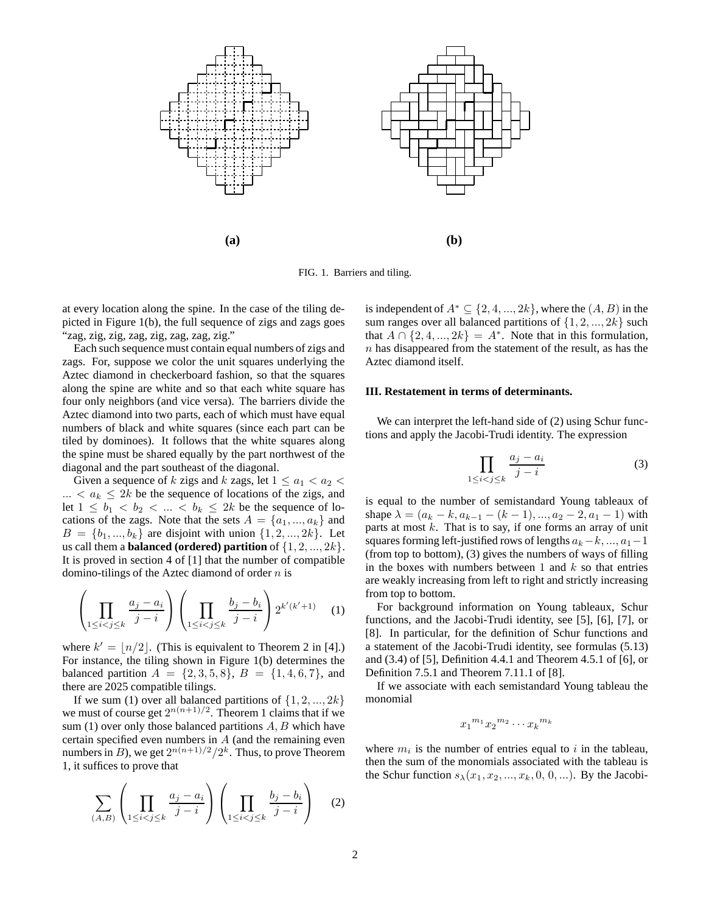

FIG. 1. Barriers and tiling.

at every location along the spine. In the case of the tiling depicted in Figure 1(b), the full sequence of zigs and zags goes "zag, zig, zig, zag, zig, zag, zag, zig."

Each such sequence must contain equal numbers of zigs and zags. For, suppose we color the unit squares underlying the Aztec diamond in checkerboard fashion, so that the squares along the spine are white and so that each white square has four only neighbors (and vice versa). The barriers divide the Aztec diamond into two parts, each of which must have equal numbers of black and white squares (since each part can be tiled by dominoes). It follows that the white squares along the spine must be shared equally by the part northwest of the diagonal and the part southeast of the diagonal.

Given a sequence of k zigs and k zags, let  $1 \le a_1 < a_2 <$  $\ldots < a_k \leq 2k$  be the sequence of locations of the zigs, and let  $1 \leq b_1 < b_2 < \ldots < b_k \leq 2k$  be the sequence of locations of the zags. Note that the sets  $A = \{a_1, ..., a_k\}$  and  $B = \{b_1, ..., b_k\}$  are disjoint with union  $\{1, 2, ..., 2k\}$ . Let us call them a **balanced (ordered) partition** of  $\{1, 2, ..., 2k\}$ . It is proved in section 4 of [1] that the number of compatible domino-tilings of the Aztec diamond of order  $n$  is

$$
\left(\prod_{1\leq i
$$

where  $k' = \lfloor n/2 \rfloor$ . (This is equivalent to Theorem 2 in [4].) For instance, the tiling shown in Figure 1(b) determines the balanced partition  $A = \{2, 3, 5, 8\}, B = \{1, 4, 6, 7\},\$ and there are 2025 compatible tilings.

If we sum (1) over all balanced partitions of  $\{1, 2, ..., 2k\}$ we must of course get  $2^{n(n+1)/2}$ . Theorem 1 claims that if we sum (1) over only those balanced partitions  $A, B$  which have certain specified even numbers in A (and the remaining even numbers in  $B$ ), we get  $2^{n(n+1)/2}/2^k$ . Thus, to prove Theorem 1, it suffices to prove that

$$
\sum_{(A,B)} \left( \prod_{1 \le i < j \le k} \frac{a_j - a_i}{j - i} \right) \left( \prod_{1 \le i < j \le k} \frac{b_j - b_i}{j - i} \right) \tag{2}
$$

is independent of  $A^* \subseteq \{2, 4, ..., 2k\}$ , where the  $(A, B)$  in the sum ranges over all balanced partitions of  $\{1, 2, ..., 2k\}$  such that  $A \cap \{2, 4, ..., 2k\} = A^*$ . Note that in this formulation,  $n$  has disappeared from the statement of the result, as has the Aztec diamond itself.

### **III. Restatement in terms of determinants.**

We can interpret the left-hand side of  $(2)$  using Schur functions and apply the Jacobi-Trudi identity. The expression

$$
\prod_{1 \le i < j \le k} \frac{a_j - a_i}{j - i} \tag{3}
$$

is equal to the number of semistandard Young tableaux of shape  $\lambda = (a_k - k, a_{k-1} - (k-1), ..., a_2 - 2, a_1 - 1)$  with parts at most  $k$ . That is to say, if one forms an array of unit squares forming left-justified rows of lengths  $a_k-k, ..., a_1-1$ (from top to bottom), (3) gives the numbers of ways of filling in the boxes with numbers between 1 and  $k$  so that entries are weakly increasing from left to right and strictly increasing from top to bottom.

For background information on Young tableaux, Schur functions, and the Jacobi-Trudi identity, see [5], [6], [7], or [8]. In particular, for the definition of Schur functions and a statement of the Jacobi-Trudi identity, see formulas (5.13) and (3.4) of [5], Definition 4.4.1 and Theorem 4.5.1 of [6], or Definition 7.5.1 and Theorem 7.11.1 of [8].

If we associate with each semistandard Young tableau the monomial

$$
x_1^{m_1} x_2^{m_2} \cdots x_k^{m_k}
$$

where  $m_i$  is the number of entries equal to i in the tableau, then the sum of the monomials associated with the tableau is the Schur function  $s_{\lambda}(x_1, x_2, ..., x_k, 0, 0, ...)$ . By the Jacobi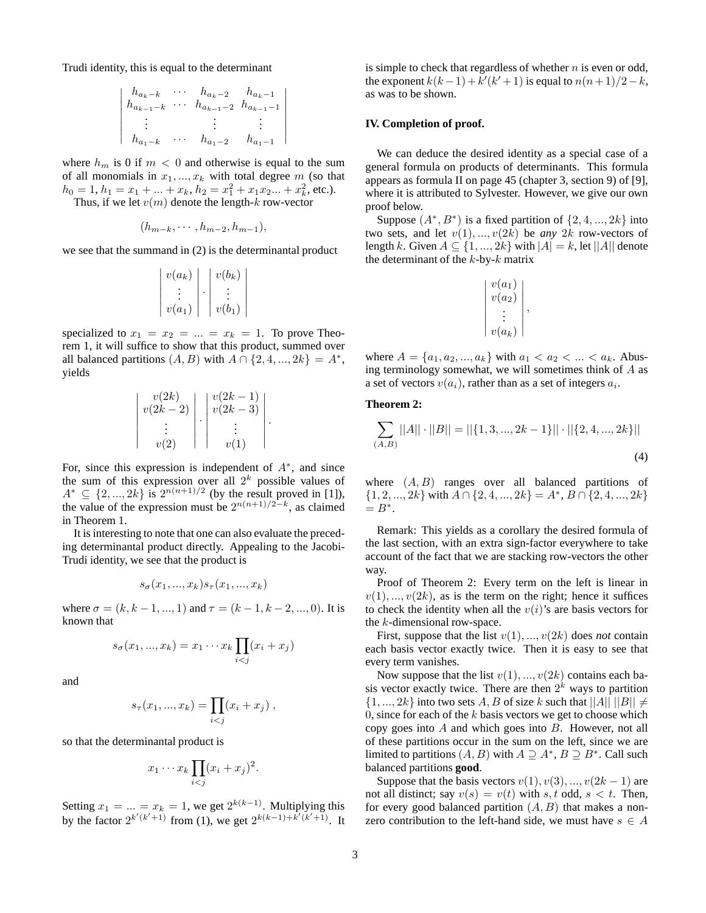<span id="page-2-0"></span>Trudi identity, this is equal to the determinant

$$
\begin{vmatrix} h_{a_k-k} & \cdots & h_{a_k-2} & h_{a_k-1} \\ h_{a_{k-1}-k} & \cdots & h_{a_{k-1}-2} & h_{a_{k-1}-1} \\ \vdots & & \vdots & \vdots \\ h_{a_1-k} & \cdots & h_{a_1-2} & h_{a_1-1} \end{vmatrix}
$$

where  $h_m$  is 0 if  $m < 0$  and otherwise is equal to the sum of all monomials in  $x_1, ..., x_k$  with total degree m (so that  $h_0 = 1, h_1 = x_1 + ... + x_k, h_2 = x_1^2 + x_1 x_2 ... + x_k^2$ , etc.). Thus, if we let  $v(m)$  denote the length-k row-vector

$$
(h_{m-k},\cdots,h_{m-2},h_{m-1}),
$$

we see that the summand in (2) is the determinantal product

$$
\begin{vmatrix} v(a_k) \\ \vdots \\ v(a_1) \end{vmatrix} \cdot \begin{vmatrix} v(b_k) \\ \vdots \\ v(b_1) \end{vmatrix}
$$

specialized to  $x_1 = x_2 = ... = x_k = 1$ . To prove Theorem 1, it will suffice to show that this product, summed over all balanced partitions  $(A, B)$  with  $A \cap \{2, 4, ..., 2k\} = A^*$ , yields

| v(2k)<br>$v(2k-2)$ | $\frac{v(2k-1)}{v(2k-3)}$ |  |
|--------------------|---------------------------|--|
| v(2)               | v(1)                      |  |

For, since this expression is independent of  $A^*$ , and since the sum of this expression over all  $2^k$  possible values of  $A^* \subseteq \{2, ..., 2k\}$  is  $2^{n(n+1)/2}$  (by the result proved in [1]), the value of the expression must be  $2^{n(n+1)/2-k}$ , as claimed in Theorem 1.

It is interesting to note that one can also evaluate the preceding determinantal product directly. Appealing to the Jacobi-Trudi identity, we see that the product is

$$
s_{\sigma}(x_1, ..., x_k)s_{\tau}(x_1, ..., x_k)
$$

where  $\sigma = (k, k - 1, ..., 1)$  and  $\tau = (k - 1, k - 2, ..., 0)$ . It is known that

$$
s_{\sigma}(x_1,...,x_k)=x_1\cdots x_k \prod_{i
$$

and

$$
s_{\tau}(x_1, ..., x_k) = \prod_{i < j} (x_i + x_j) \;,
$$

so that the determinantal product is

$$
x_1 \cdots x_k \prod_{i < j} (x_i + x_j)^2
$$

.

Setting  $x_1 = ... = x_k = 1$ , we get  $2^{k(k-1)}$ . Multiplying this by the factor  $2^{k'(k'+1)}$  from (1), we get  $2^{k(k-1)+k'(k'+1)}$ . It is simple to check that regardless of whether  $n$  is even or odd, the exponent  $k(k-1) + k'(k'+1)$  is equal to  $n(n+1)/2 - k$ , as was to be shown.

### **IV. Completion of proof.**

We can deduce the desired identity as a special case of a general formula on products of determinants. This formula appears as formula II on page 45 (chapter 3, section 9) of [9], where it is attributed to Sylvester. However, we give our own proof below.

Suppose  $(A^*, B^*)$  is a fixed partition of  $\{2, 4, ..., 2k\}$  into two sets, and let  $v(1), ..., v(2k)$  be *any* 2k row-vectors of length k. Given  $A \subseteq \{1, ..., 2k\}$  with  $|A| = k$ , let  $||A||$  denote the determinant of the  $k$ -by- $k$  matrix

| $v(a_1)$<br>$v(a_2)$ |  |
|----------------------|--|
| $v(a_k)$             |  |

where  $A = \{a_1, a_2, ..., a_k\}$  with  $a_1 < a_2 < ... < a_k$ . Abusing terminology somewhat, we will sometimes think of A as a set of vectors  $v(a_i)$ , rather than as a set of integers  $a_i$ .

# **Theorem 2:**

$$
\sum_{(A,B)} ||A|| \cdot ||B|| = ||\{1,3,...,2k-1\}|| \cdot ||\{2,4,...,2k\}||
$$
\n(4)

where  $(A, B)$  ranges over all balanced partitions of  $\{1, 2, ..., 2k\}$  with  $A \cap \{2, 4, ..., 2k\} = A^*, B \cap \{2, 4, ..., 2k\}$  $= B^*$ .

Remark: This yields as a corollary the desired formula of the last section, with an extra sign-factor everywhere to take account of the fact that we are stacking row-vectors the other way.

Proof of Theorem 2: Every term on the left is linear in  $v(1), ..., v(2k)$ , as is the term on the right; hence it suffices to check the identity when all the  $v(i)$ 's are basis vectors for the k-dimensional row-space.

First, suppose that the list  $v(1), \ldots, v(2k)$  does *not* contain each basis vector exactly twice. Then it is easy to see that every term vanishes.

Now suppose that the list  $v(1), \ldots, v(2k)$  contains each basis vector exactly twice. There are then  $2^k$  ways to partition  $\{1, ..., 2k\}$  into two sets A, B of size k such that  $||A|| ||B|| \neq$ 0, since for each of the  $k$  basis vectors we get to choose which copy goes into  $A$  and which goes into  $B$ . However, not all of these partitions occur in the sum on the left, since we are limited to partitions  $(A, B)$  with  $A \supseteq A^*$ ,  $B \supseteq B^*$ . Call such balanced partitions **good**.

Suppose that the basis vectors  $v(1), v(3), ..., v(2k-1)$  are not all distinct; say  $v(s) = v(t)$  with s, t odd, s < t. Then, for every good balanced partition  $(A, B)$  that makes a nonzero contribution to the left-hand side, we must have  $s \in A$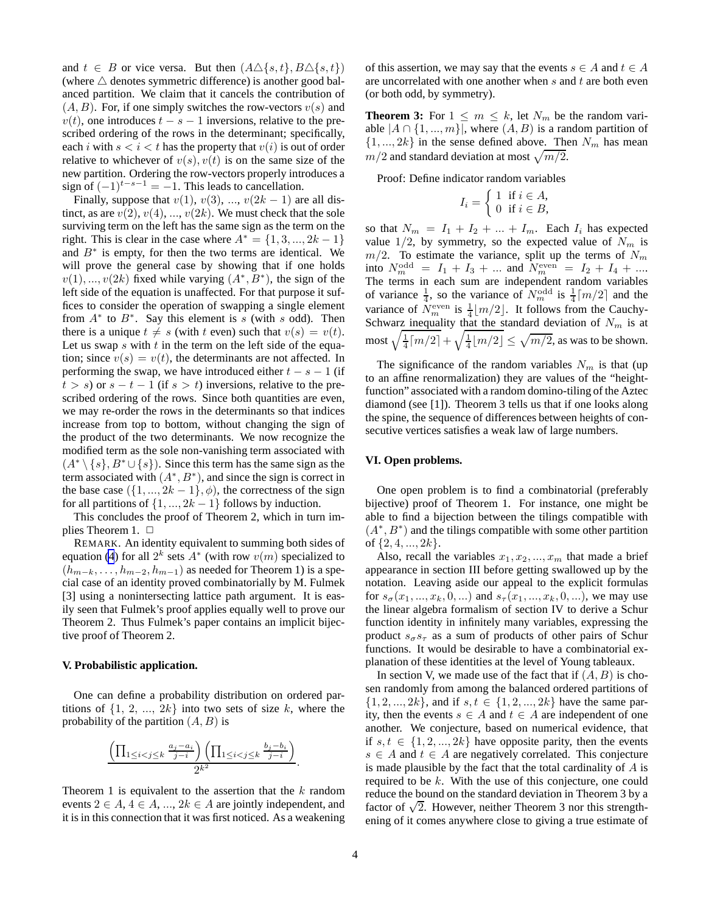and  $t \in B$  or vice versa. But then  $(A \triangle \{s,t\}, B \triangle \{s,t\})$ (where  $\triangle$  denotes symmetric difference) is another good balanced partition. We claim that it cancels the contribution of  $(A, B)$ . For, if one simply switches the row-vectors  $v(s)$  and  $v(t)$ , one introduces  $t - s - 1$  inversions, relative to the prescribed ordering of the rows in the determinant; specifically, each i with  $s < i < t$  has the property that  $v(i)$  is out of order relative to whichever of  $v(s)$ ,  $v(t)$  is on the same size of the new partition. Ordering the row-vectors properly introduces a sign of  $(-1)^{t-s-1} = -1$ . This leads to cancellation.

Finally, suppose that  $v(1)$ ,  $v(3)$ , ...,  $v(2k-1)$  are all distinct, as are  $v(2)$ ,  $v(4)$ , ...,  $v(2k)$ . We must check that the sole surviving term on the left has the same sign as the term on the right. This is clear in the case where  $A^* = \{1, 3, ..., 2k - 1\}$ and  $B^*$  is empty, for then the two terms are identical. We will prove the general case by showing that if one holds  $v(1),...,v(2k)$  fixed while varying  $(A^*,B^*)$ , the sign of the left side of the equation is unaffected. For that purpose it suffices to consider the operation of swapping a single element from  $A^*$  to  $B^*$ . Say this element is s (with s odd). Then there is a unique  $t \neq s$  (with t even) such that  $v(s) = v(t)$ . Let us swap  $s$  with  $t$  in the term on the left side of the equation; since  $v(s) = v(t)$ , the determinants are not affected. In performing the swap, we have introduced either  $t - s - 1$  (if  $t > s$ ) or  $s - t - 1$  (if  $s > t$ ) inversions, relative to the prescribed ordering of the rows. Since both quantities are even, we may re-order the rows in the determinants so that indices increase from top to bottom, without changing the sign of the product of the two determinants. We now recognize the modified term as the sole non-vanishing term associated with  $(A^* \setminus \{s\}, B^* \cup \{s\})$ . Since this term has the same sign as the term associated with  $(A^*, B^*)$ , and since the sign is correct in the base case  $({1, ..., 2k-1}, \phi)$ , the correctness of the sign for all partitions of  $\{1, ..., 2k - 1\}$  follows by induction.

This concludes the proof of Theorem 2, which in turn implies Theorem 1.  $\Box$ 

REMARK. An identity equivalent to summing both sides of equation [\(4](#page-2-0)) for all  $2^k$  sets  $A^*$  (with row  $v(m)$  specialized to  $(h_{m-k}, \ldots, h_{m-2}, h_{m-1})$  as needed for Theorem 1) is a special case of an identity proved combinatorially by M. Fulmek [3] using a nonintersecting lattice path argument. It is easily seen that Fulmek's proof applies equally well to prove our Theorem 2. Thus Fulmek's paper contains an implicit bijective proof of Theorem 2.

### **V. Probabilistic application.**

One can define a probability distribution on ordered partitions of  $\{1, 2, ..., 2k\}$  into two sets of size k, where the probability of the partition  $(A, B)$  is

$$
\frac{\left(\prod_{1 \leq i < j \leq k} \frac{a_j - a_i}{j - i}\right)\left(\prod_{1 \leq i < j \leq k} \frac{b_j - b_i}{j - i}\right)}{2^{k^2}}
$$

Theorem 1 is equivalent to the assertion that the  $k$  random events  $2 \in A$ ,  $4 \in A$ , ...,  $2k \in A$  are jointly independent, and it is in this connection that it was first noticed. As a weakening of this assertion, we may say that the events  $s \in A$  and  $t \in A$ are uncorrelated with one another when  $s$  and  $t$  are both even (or both odd, by symmetry).

**Theorem 3:** For  $1 \leq m \leq k$ , let  $N_m$  be the random variable  $|A \cap \{1, ..., m\}|$ , where  $(A, B)$  is a random partition of  $\{1, ..., 2k\}$  in the sense defined above. Then  $N_m$  has mean  $m/2$  and standard deviation at most  $\sqrt{m/2}$ .

Proof: Define indicator random variables

$$
I_i = \begin{cases} 1 & \text{if } i \in A, \\ 0 & \text{if } i \in B, \end{cases}
$$

so that  $N_m = I_1 + I_2 + ... + I_m$ . Each  $I_i$  has expected value  $1/2$ , by symmetry, so the expected value of  $N_m$  is  $m/2$ . To estimate the variance, split up the terms of  $N_m$ into  $N_m^{\text{odd}} = I_1 + I_3 + ...$  and  $N_m^{\text{even}} = I_2 + I_4 + ...$ The terms in each sum are independent random variables of variance  $\frac{1}{4}$ , so the variance of  $N_m^{\text{odd}}$  is  $\frac{1}{4} \lceil m/2 \rceil$  and the variance of  $N_{m}^{\text{even}}$  is  $\frac{1}{4} \lfloor m/2 \rfloor$ . It follows from the Cauchy-Schwarz inequality that the standard deviation of  $N_m$  is at most  $\sqrt{\frac{1}{4} \lceil m/2 \rceil} + \sqrt{\frac{1}{4} \lfloor m/2 \rfloor} \leq \sqrt{m/2}$ , as was to be shown.

The significance of the random variables  $N_m$  is that (up to an affine renormalization) they are values of the "heightfunction" associated with a random domino-tiling of the Aztec diamond (see [1]). Theorem 3 tells us that if one looks along the spine, the sequence of differences between heights of consecutive vertices satisfies a weak law of large numbers.

## **VI. Open problems.**

One open problem is to find a combinatorial (preferably bijective) proof of Theorem 1. For instance, one might be able to find a bijection between the tilings compatible with ( $A^*$ ,  $B^*$ ) and the tilings compatible with some other partition of  $\{2, 4, ..., 2k\}$ .

Also, recall the variables  $x_1, x_2, ..., x_m$  that made a brief appearance in section III before getting swallowed up by the notation. Leaving aside our appeal to the explicit formulas for  $s_{\sigma}(x_1, ..., x_k, 0, ...)$  and  $s_{\tau}(x_1, ..., x_k, 0, ...)$ , we may use the linear algebra formalism of section IV to derive a Schur function identity in infinitely many variables, expressing the product  $s_{\sigma}s_{\tau}$  as a sum of products of other pairs of Schur functions. It would be desirable to have a combinatorial explanation of these identities at the level of Young tableaux.

In section V, we made use of the fact that if  $(A, B)$  is chosen randomly from among the balanced ordered partitions of  $\{1, 2, ..., 2k\}$ , and if  $s, t \in \{1, 2, ..., 2k\}$  have the same parity, then the events  $s \in A$  and  $t \in A$  are independent of one another. We conjecture, based on numerical evidence, that if  $s, t \in \{1, 2, ..., 2k\}$  have opposite parity, then the events  $s \in A$  and  $t \in A$  are negatively correlated. This conjecture is made plausible by the fact that the total cardinality of  $A$  is required to be k. With the use of this conjecture, one could reduce the bound on the standard deviation in Theorem 3 by a factor of  $\sqrt{2}$ . However, neither Theorem 3 nor this strengthening of it comes anywhere close to giving a true estimate of

.